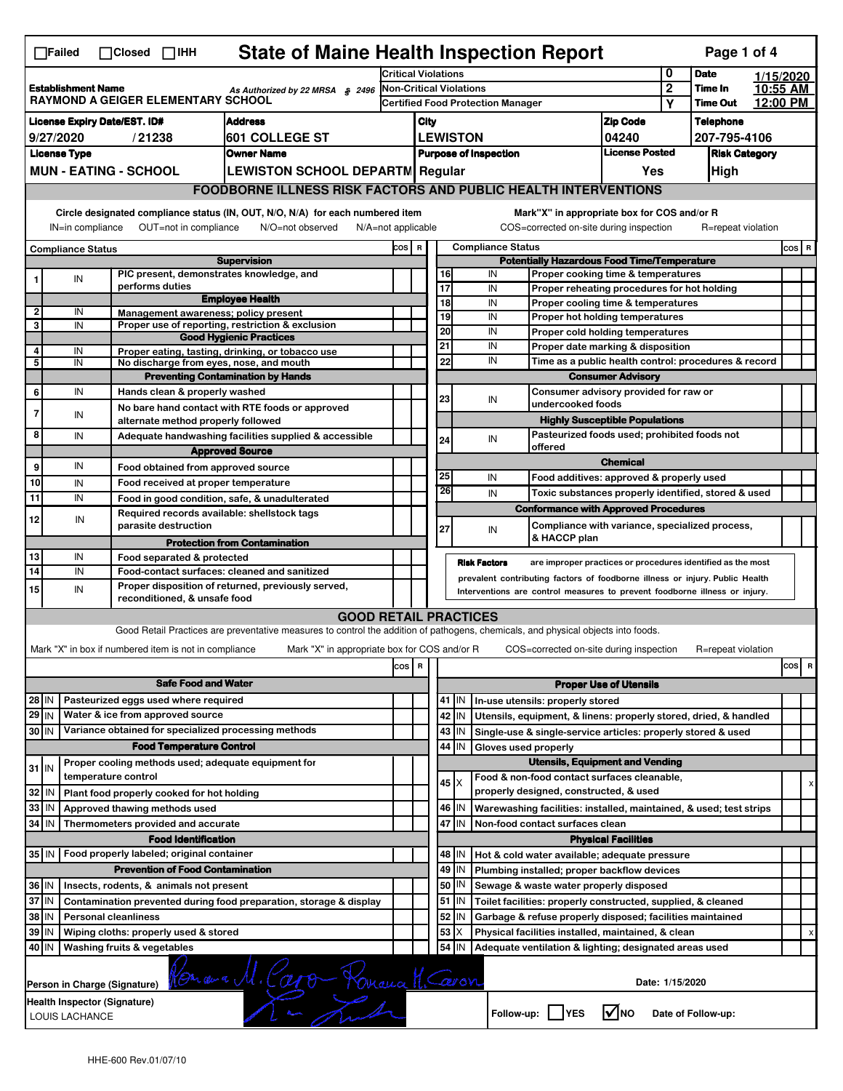| <b>State of Maine Health Inspection Report</b><br>Page 1 of 4<br>$\Box$ Failed<br>$\Box$ Closed $\Box$ IHH |                                                                                                                                                                                                                                                                       |                                                                                                                                                                                                                  |                                                       |                                                                                                                                   |                                   |                                                                                         |                                              |                                                           |                                                              |                                                                                       |                               |                 |                    |         |                                |
|------------------------------------------------------------------------------------------------------------|-----------------------------------------------------------------------------------------------------------------------------------------------------------------------------------------------------------------------------------------------------------------------|------------------------------------------------------------------------------------------------------------------------------------------------------------------------------------------------------------------|-------------------------------------------------------|-----------------------------------------------------------------------------------------------------------------------------------|-----------------------------------|-----------------------------------------------------------------------------------------|----------------------------------------------|-----------------------------------------------------------|--------------------------------------------------------------|---------------------------------------------------------------------------------------|-------------------------------|-----------------|--------------------|---------|--------------------------------|
| <b>Establishment Name</b><br>As Authorized by 22 MRSA § 2496                                               |                                                                                                                                                                                                                                                                       |                                                                                                                                                                                                                  | Critical Violations                                   |                                                                                                                                   |                                   |                                                                                         | 0                                            | <b>Date</b>                                               | 1/15/2020                                                    |                                                                                       |                               |                 |                    |         |                                |
|                                                                                                            |                                                                                                                                                                                                                                                                       |                                                                                                                                                                                                                  | <b>Non-Critical Violations</b>                        |                                                                                                                                   |                                   | $\overline{2}$                                                                          | Time In                                      | 10:55 AM                                                  |                                                              |                                                                                       |                               |                 |                    |         |                                |
|                                                                                                            | <b>RAYMOND A GEIGER ELEMENTARY SCHOOL</b>                                                                                                                                                                                                                             |                                                                                                                                                                                                                  |                                                       |                                                                                                                                   | Certified Food Protection Manager |                                                                                         |                                              |                                                           |                                                              |                                                                                       | Y                             | <b>Time Out</b> | 12:00 PM           |         |                                |
|                                                                                                            |                                                                                                                                                                                                                                                                       | <b>License Expiry Date/EST. ID#</b>                                                                                                                                                                              |                                                       | <b>Address</b>                                                                                                                    |                                   | City                                                                                    |                                              |                                                           |                                                              |                                                                                       | <b>Zip Code</b>               |                 | <b>Telephone</b>   |         |                                |
|                                                                                                            | 9/27/2020                                                                                                                                                                                                                                                             |                                                                                                                                                                                                                  | /21238                                                | 601 COLLEGE ST                                                                                                                    |                                   | <b>LEWISTON</b>                                                                         |                                              |                                                           |                                                              |                                                                                       | 04240                         |                 | 207-795-4106       |         |                                |
|                                                                                                            | <b>License Type</b>                                                                                                                                                                                                                                                   |                                                                                                                                                                                                                  |                                                       | <b>Owner Name</b>                                                                                                                 |                                   | <b>License Posted</b><br><b>Purpose of Inspection</b>                                   |                                              |                                                           | <b>Risk Category</b>                                         |                                                                                       |                               |                 |                    |         |                                |
|                                                                                                            |                                                                                                                                                                                                                                                                       | <b>MUN - EATING - SCHOOL</b>                                                                                                                                                                                     |                                                       | <b>LEWISTON SCHOOL DEPARTM Regular</b>                                                                                            |                                   |                                                                                         |                                              |                                                           |                                                              |                                                                                       | Yes                           |                 | High               |         |                                |
|                                                                                                            |                                                                                                                                                                                                                                                                       |                                                                                                                                                                                                                  |                                                       | <b>FOODBORNE ILLNESS RISK FACTORS AND PUBLIC HEALTH INTERVENTIONS</b>                                                             |                                   |                                                                                         |                                              |                                                           |                                                              |                                                                                       |                               |                 |                    |         |                                |
|                                                                                                            | Circle designated compliance status (IN, OUT, N/O, N/A) for each numbered item<br>Mark"X" in appropriate box for COS and/or R<br>OUT=not in compliance<br>COS=corrected on-site during inspection<br>IN=in compliance<br>$N/A = not$ applicable<br>R=repeat violation |                                                                                                                                                                                                                  |                                                       |                                                                                                                                   |                                   |                                                                                         |                                              |                                                           |                                                              |                                                                                       |                               |                 |                    |         |                                |
|                                                                                                            |                                                                                                                                                                                                                                                                       |                                                                                                                                                                                                                  |                                                       | N/O=not observed                                                                                                                  |                                   |                                                                                         |                                              |                                                           |                                                              |                                                                                       |                               |                 |                    |         |                                |
|                                                                                                            | <b>Compliance Status</b>                                                                                                                                                                                                                                              |                                                                                                                                                                                                                  |                                                       | <b>Supervision</b>                                                                                                                |                                   | COS R<br><b>Compliance Status</b><br><b>Potentially Hazardous Food Time/Temperature</b> |                                              |                                                           |                                                              |                                                                                       |                               |                 |                    | $cos$ R |                                |
| 1                                                                                                          | IN                                                                                                                                                                                                                                                                    |                                                                                                                                                                                                                  |                                                       | PIC present, demonstrates knowledge, and                                                                                          |                                   |                                                                                         | 16                                           |                                                           | IN                                                           | Proper cooking time & temperatures                                                    |                               |                 |                    |         |                                |
|                                                                                                            |                                                                                                                                                                                                                                                                       |                                                                                                                                                                                                                  | performs duties                                       |                                                                                                                                   |                                   |                                                                                         | 17                                           |                                                           | IN                                                           | Proper reheating procedures for hot holding                                           |                               |                 |                    |         |                                |
|                                                                                                            |                                                                                                                                                                                                                                                                       |                                                                                                                                                                                                                  |                                                       | <b>Employee Health</b>                                                                                                            |                                   |                                                                                         | 18                                           |                                                           | IN                                                           | Proper cooling time & temperatures                                                    |                               |                 |                    |         |                                |
| $\overline{\mathbf{2}}$<br>3                                                                               | IN<br>IN                                                                                                                                                                                                                                                              |                                                                                                                                                                                                                  |                                                       | Management awareness; policy present<br>Proper use of reporting, restriction & exclusion                                          |                                   |                                                                                         | 19                                           |                                                           | IN                                                           | Proper hot holding temperatures                                                       |                               |                 |                    |         |                                |
|                                                                                                            |                                                                                                                                                                                                                                                                       |                                                                                                                                                                                                                  |                                                       | <b>Good Hygienic Practices</b>                                                                                                    |                                   |                                                                                         | $\overline{20}$                              |                                                           | IN                                                           | Proper cold holding temperatures                                                      |                               |                 |                    |         |                                |
| 4                                                                                                          | IN                                                                                                                                                                                                                                                                    |                                                                                                                                                                                                                  |                                                       | Proper eating, tasting, drinking, or tobacco use                                                                                  |                                   |                                                                                         | $\overline{21}$                              |                                                           | IN                                                           | Proper date marking & disposition                                                     |                               |                 |                    |         |                                |
| 5                                                                                                          | IN                                                                                                                                                                                                                                                                    |                                                                                                                                                                                                                  |                                                       | No discharge from eyes, nose, and mouth                                                                                           |                                   |                                                                                         | 22                                           |                                                           | IN                                                           | Time as a public health control: procedures & record                                  |                               |                 |                    |         |                                |
|                                                                                                            |                                                                                                                                                                                                                                                                       |                                                                                                                                                                                                                  |                                                       | <b>Preventing Contamination by Hands</b>                                                                                          |                                   |                                                                                         |                                              |                                                           |                                                              |                                                                                       | <b>Consumer Advisory</b>      |                 |                    |         |                                |
| 6                                                                                                          | IN                                                                                                                                                                                                                                                                    |                                                                                                                                                                                                                  | Hands clean & properly washed                         |                                                                                                                                   |                                   |                                                                                         | 23                                           |                                                           | IN                                                           | Consumer advisory provided for raw or<br>undercooked foods                            |                               |                 |                    |         |                                |
| $\overline{7}$                                                                                             | IN                                                                                                                                                                                                                                                                    |                                                                                                                                                                                                                  |                                                       | No bare hand contact with RTE foods or approved                                                                                   |                                   |                                                                                         |                                              |                                                           |                                                              |                                                                                       |                               |                 |                    |         |                                |
| 8                                                                                                          | IN                                                                                                                                                                                                                                                                    |                                                                                                                                                                                                                  | alternate method properly followed                    |                                                                                                                                   |                                   |                                                                                         |                                              |                                                           |                                                              | <b>Highly Susceptible Populations</b><br>Pasteurized foods used; prohibited foods not |                               |                 |                    |         |                                |
|                                                                                                            |                                                                                                                                                                                                                                                                       |                                                                                                                                                                                                                  |                                                       | Adequate handwashing facilities supplied & accessible                                                                             |                                   |                                                                                         | 24                                           |                                                           | IN                                                           | offered                                                                               |                               |                 |                    |         |                                |
| 9                                                                                                          | IN                                                                                                                                                                                                                                                                    |                                                                                                                                                                                                                  |                                                       | <b>Approved Source</b>                                                                                                            |                                   |                                                                                         |                                              |                                                           |                                                              |                                                                                       | <b>Chemical</b>               |                 |                    |         |                                |
| 10                                                                                                         |                                                                                                                                                                                                                                                                       |                                                                                                                                                                                                                  | Food obtained from approved source                    |                                                                                                                                   |                                   |                                                                                         | 25                                           |                                                           | IN                                                           | Food additives: approved & properly used                                              |                               |                 |                    |         |                                |
|                                                                                                            | IN                                                                                                                                                                                                                                                                    |                                                                                                                                                                                                                  | Food received at proper temperature                   |                                                                                                                                   |                                   |                                                                                         | 26                                           |                                                           | IN                                                           | Toxic substances properly identified, stored & used                                   |                               |                 |                    |         |                                |
| 11                                                                                                         | IN                                                                                                                                                                                                                                                                    |                                                                                                                                                                                                                  |                                                       | Food in good condition, safe, & unadulterated                                                                                     |                                   |                                                                                         |                                              |                                                           |                                                              | <b>Conformance with Approved Procedures</b>                                           |                               |                 |                    |         |                                |
| 12                                                                                                         | IN                                                                                                                                                                                                                                                                    |                                                                                                                                                                                                                  | parasite destruction                                  | Required records available: shellstock tags                                                                                       |                                   |                                                                                         | 27                                           |                                                           |                                                              | Compliance with variance, specialized process,                                        |                               |                 |                    |         |                                |
|                                                                                                            |                                                                                                                                                                                                                                                                       |                                                                                                                                                                                                                  |                                                       | <b>Protection from Contamination</b>                                                                                              |                                   |                                                                                         |                                              |                                                           | IN                                                           | & HACCP plan                                                                          |                               |                 |                    |         |                                |
| 13                                                                                                         | IN                                                                                                                                                                                                                                                                    |                                                                                                                                                                                                                  | Food separated & protected                            |                                                                                                                                   |                                   |                                                                                         |                                              |                                                           |                                                              |                                                                                       |                               |                 |                    |         |                                |
| 14                                                                                                         | IN                                                                                                                                                                                                                                                                    |                                                                                                                                                                                                                  |                                                       | Food-contact surfaces: cleaned and sanitized                                                                                      |                                   |                                                                                         |                                              |                                                           | <b>Risk Factors</b>                                          | are improper practices or procedures identified as the most                           |                               |                 |                    |         |                                |
| 15                                                                                                         | IN                                                                                                                                                                                                                                                                    | prevalent contributing factors of foodborne illness or injury. Public Health<br>Proper disposition of returned, previously served,<br>Interventions are control measures to prevent foodborne illness or injury. |                                                       |                                                                                                                                   |                                   |                                                                                         |                                              |                                                           |                                                              |                                                                                       |                               |                 |                    |         |                                |
|                                                                                                            | reconditioned, & unsafe food                                                                                                                                                                                                                                          |                                                                                                                                                                                                                  |                                                       |                                                                                                                                   |                                   |                                                                                         |                                              |                                                           |                                                              |                                                                                       |                               |                 |                    |         |                                |
|                                                                                                            |                                                                                                                                                                                                                                                                       |                                                                                                                                                                                                                  |                                                       | <b>GOOD RETAIL PRACTICES</b>                                                                                                      |                                   |                                                                                         |                                              |                                                           |                                                              |                                                                                       |                               |                 |                    |         |                                |
|                                                                                                            |                                                                                                                                                                                                                                                                       |                                                                                                                                                                                                                  |                                                       | Good Retail Practices are preventative measures to control the addition of pathogens, chemicals, and physical objects into foods. |                                   |                                                                                         |                                              |                                                           |                                                              |                                                                                       |                               |                 |                    |         |                                |
|                                                                                                            |                                                                                                                                                                                                                                                                       |                                                                                                                                                                                                                  | Mark "X" in box if numbered item is not in compliance | Mark "X" in appropriate box for COS and/or R                                                                                      |                                   |                                                                                         |                                              |                                                           |                                                              | COS=corrected on-site during inspection                                               |                               |                 | R=repeat violation |         |                                |
|                                                                                                            |                                                                                                                                                                                                                                                                       |                                                                                                                                                                                                                  |                                                       |                                                                                                                                   | cos R                             |                                                                                         |                                              |                                                           |                                                              |                                                                                       |                               |                 |                    |         | cos<br>$\overline{\mathbf{R}}$ |
|                                                                                                            | <b>Safe Food and Water</b>                                                                                                                                                                                                                                            |                                                                                                                                                                                                                  |                                                       |                                                                                                                                   |                                   |                                                                                         |                                              |                                                           |                                                              |                                                                                       | <b>Proper Use of Utensils</b> |                 |                    |         |                                |
| 28 IN                                                                                                      |                                                                                                                                                                                                                                                                       |                                                                                                                                                                                                                  | Pasteurized eggs used where required                  |                                                                                                                                   |                                   |                                                                                         | $41$ IN<br>In-use utensils: properly stored  |                                                           |                                                              |                                                                                       |                               |                 |                    |         |                                |
| $29$ IN                                                                                                    |                                                                                                                                                                                                                                                                       |                                                                                                                                                                                                                  | Water & ice from approved source                      |                                                                                                                                   |                                   |                                                                                         | 42                                           | IN                                                        |                                                              | Utensils, equipment, & linens: properly stored, dried, & handled                      |                               |                 |                    |         |                                |
| 30 IN                                                                                                      |                                                                                                                                                                                                                                                                       |                                                                                                                                                                                                                  |                                                       | Variance obtained for specialized processing methods                                                                              |                                   |                                                                                         | 43                                           | IN.                                                       |                                                              | Single-use & single-service articles: properly stored & used                          |                               |                 |                    |         |                                |
|                                                                                                            |                                                                                                                                                                                                                                                                       |                                                                                                                                                                                                                  | <b>Food Temperature Control</b>                       |                                                                                                                                   |                                   |                                                                                         | 44                                           | IN                                                        | Gloves used properly                                         |                                                                                       |                               |                 |                    |         |                                |
|                                                                                                            |                                                                                                                                                                                                                                                                       |                                                                                                                                                                                                                  |                                                       | Proper cooling methods used; adequate equipment for                                                                               |                                   |                                                                                         | <b>Utensils, Equipment and Vending</b>       |                                                           |                                                              |                                                                                       |                               |                 |                    |         |                                |
| $31$ IN                                                                                                    |                                                                                                                                                                                                                                                                       | temperature control                                                                                                                                                                                              |                                                       |                                                                                                                                   |                                   |                                                                                         |                                              | $45 \times$                                               |                                                              | Food & non-food contact surfaces cleanable,                                           |                               |                 |                    |         |                                |
| 32 IN                                                                                                      |                                                                                                                                                                                                                                                                       |                                                                                                                                                                                                                  | Plant food properly cooked for hot holding            |                                                                                                                                   |                                   |                                                                                         |                                              |                                                           |                                                              | properly designed, constructed, & used                                                |                               |                 |                    |         | х                              |
| 33                                                                                                         | l IN                                                                                                                                                                                                                                                                  |                                                                                                                                                                                                                  | Approved thawing methods used                         |                                                                                                                                   |                                   |                                                                                         |                                              | 46 IN                                                     |                                                              | Warewashing facilities: installed, maintained, & used; test strips                    |                               |                 |                    |         |                                |
| 34                                                                                                         | l IN                                                                                                                                                                                                                                                                  |                                                                                                                                                                                                                  | Thermometers provided and accurate                    |                                                                                                                                   |                                   |                                                                                         | 47<br>İΙN<br>Non-food contact surfaces clean |                                                           |                                                              |                                                                                       |                               |                 |                    |         |                                |
|                                                                                                            |                                                                                                                                                                                                                                                                       |                                                                                                                                                                                                                  | <b>Food Identification</b>                            |                                                                                                                                   |                                   |                                                                                         |                                              |                                                           |                                                              |                                                                                       | <b>Physical Facilities</b>    |                 |                    |         |                                |
|                                                                                                            | 35 IN   Food properly labeled; original container<br>48   IN<br>Hot & cold water available; adequate pressure                                                                                                                                                         |                                                                                                                                                                                                                  |                                                       |                                                                                                                                   |                                   |                                                                                         |                                              |                                                           |                                                              |                                                                                       |                               |                 |                    |         |                                |
|                                                                                                            |                                                                                                                                                                                                                                                                       |                                                                                                                                                                                                                  | <b>Prevention of Food Contamination</b>               |                                                                                                                                   |                                   |                                                                                         | 49                                           | IN.                                                       |                                                              | Plumbing installed; proper backflow devices                                           |                               |                 |                    |         |                                |
| 36 IN<br>Insects, rodents, & animals not present                                                           |                                                                                                                                                                                                                                                                       |                                                                                                                                                                                                                  |                                                       |                                                                                                                                   |                                   | 50<br>ΙN<br>Sewage & waste water properly disposed                                      |                                              |                                                           |                                                              |                                                                                       |                               |                 |                    |         |                                |
| 37 IN<br>Contamination prevented during food preparation, storage & display                                |                                                                                                                                                                                                                                                                       |                                                                                                                                                                                                                  |                                                       |                                                                                                                                   |                                   |                                                                                         | $51$ M                                       |                                                           | Toilet facilities: properly constructed, supplied, & cleaned |                                                                                       |                               |                 |                    |         |                                |
| 38 IN<br><b>Personal cleanliness</b>                                                                       |                                                                                                                                                                                                                                                                       |                                                                                                                                                                                                                  |                                                       |                                                                                                                                   |                                   | $52$ M                                                                                  |                                              | Garbage & refuse properly disposed; facilities maintained |                                                              |                                                                                       |                               |                 |                    |         |                                |
| 39 IN<br>Wiping cloths: properly used & stored                                                             |                                                                                                                                                                                                                                                                       |                                                                                                                                                                                                                  |                                                       |                                                                                                                                   |                                   | 53<br>X<br>Physical facilities installed, maintained, & clean                           |                                              |                                                           |                                                              |                                                                                       |                               | x               |                    |         |                                |
| 40 IN                                                                                                      |                                                                                                                                                                                                                                                                       | Washing fruits & vegetables                                                                                                                                                                                      |                                                       |                                                                                                                                   |                                   |                                                                                         | 54                                           | IN                                                        |                                                              | Adequate ventilation & lighting; designated areas used                                |                               |                 |                    |         |                                |
|                                                                                                            | Roman M. Caro Romana M. Caron<br>Date: 1/15/2020<br>Person in Charge (Signature)                                                                                                                                                                                      |                                                                                                                                                                                                                  |                                                       |                                                                                                                                   |                                   |                                                                                         |                                              |                                                           |                                                              |                                                                                       |                               |                 |                    |         |                                |
|                                                                                                            | Health Inspector (Signature)<br>l√lno<br>Follow-up:     YES<br>Date of Follow-up:<br>LOUIS LACHANCE                                                                                                                                                                   |                                                                                                                                                                                                                  |                                                       |                                                                                                                                   |                                   |                                                                                         |                                              |                                                           |                                                              |                                                                                       |                               |                 |                    |         |                                |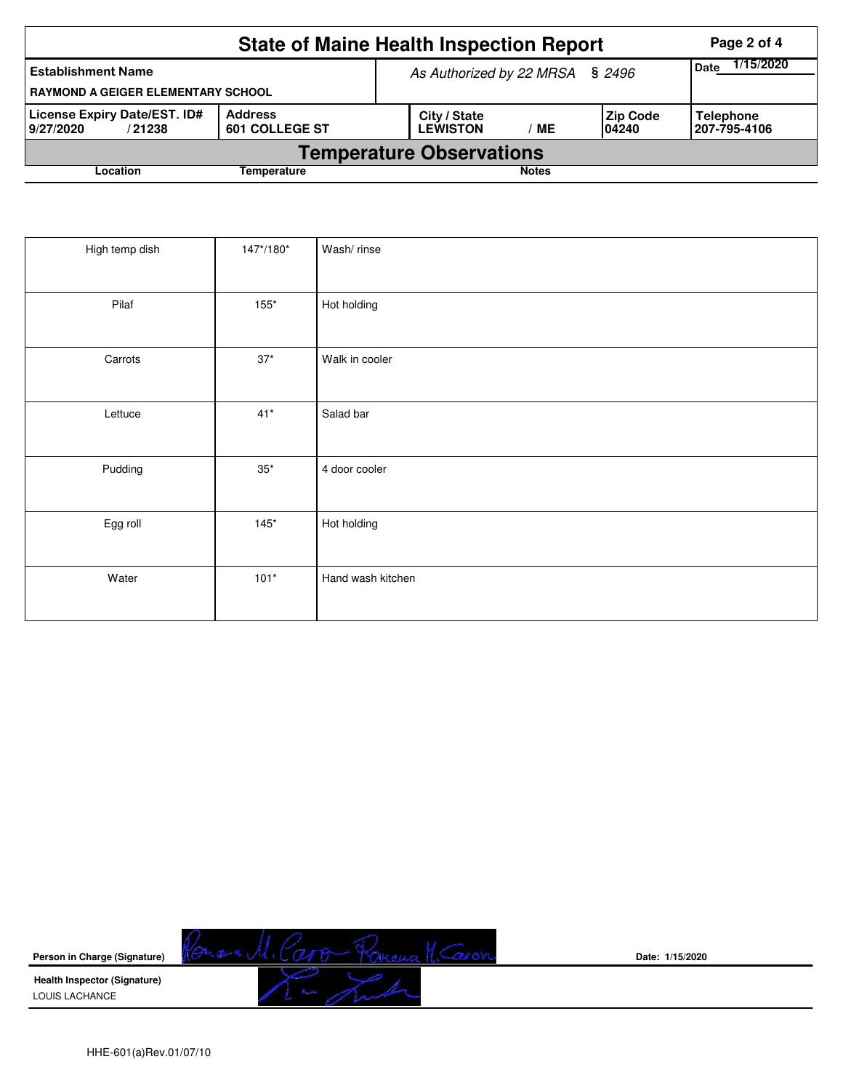|                                                                                                | Page 2 of 4 |                                 |                                 |      |                           |                                  |  |  |  |
|------------------------------------------------------------------------------------------------|-------------|---------------------------------|---------------------------------|------|---------------------------|----------------------------------|--|--|--|
| <b>Establishment Name</b><br><b>RAYMOND A GEIGER ELEMENTARY SCHOOL</b>                         |             | As Authorized by 22 MRSA § 2496 | 1/15/2020<br><b>Date</b>        |      |                           |                                  |  |  |  |
| License Expiry Date/EST. ID#<br><b>Address</b><br><b>601 COLLEGE ST</b><br>9/27/2020<br>/21238 |             |                                 | City / State<br><b>LEWISTON</b> | ' ME | <b>Zip Code</b><br>104240 | <b>Telephone</b><br>207-795-4106 |  |  |  |
| <b>Temperature Observations</b>                                                                |             |                                 |                                 |      |                           |                                  |  |  |  |
| Location                                                                                       |             |                                 | <b>Notes</b>                    |      |                           |                                  |  |  |  |

| High temp dish | 147*/180*    | Wash/rinse        |
|----------------|--------------|-------------------|
| Pilaf          | $155*$       | Hot holding       |
| Carrots        | $37^{\star}$ | Walk in cooler    |
| Lettuce        | $41*$        | Salad bar         |
| Pudding        | $35^{\ast}$  | 4 door cooler     |
| Egg roll       | $145*$       | Hot holding       |
| Water          | $101*$       | Hand wash kitchen |



**Date: 1/15/2020**

HHE-601(a)Rev.01/07/10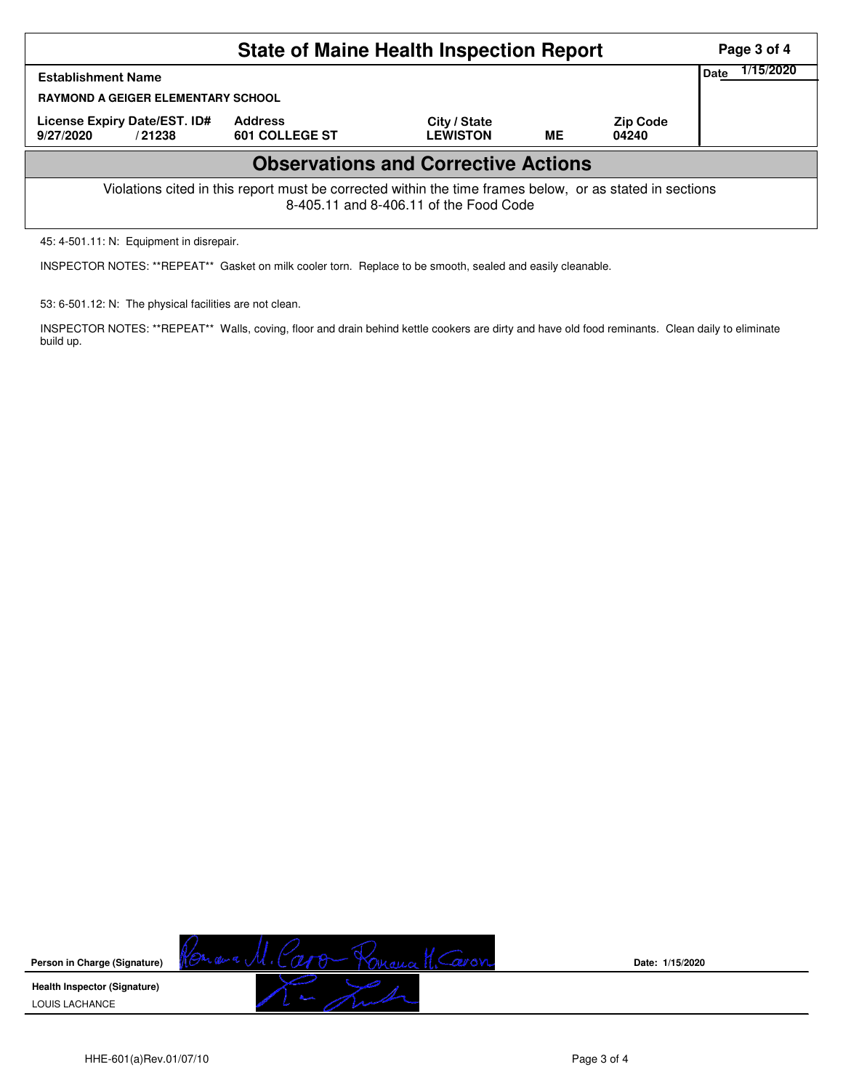| <b>State of Maine Health Inspection Report</b>                                                                                                     |                                  |                                 |    |                          |  |  |  |  |  |  |
|----------------------------------------------------------------------------------------------------------------------------------------------------|----------------------------------|---------------------------------|----|--------------------------|--|--|--|--|--|--|
| <b>Establishment Name</b><br><b>RAYMOND A GEIGER ELEMENTARY SCHOOL</b>                                                                             | Date                             | 1/15/2020                       |    |                          |  |  |  |  |  |  |
| License Expiry Date/EST. ID#<br>9/27/2020<br>/21238                                                                                                | <b>Address</b><br>601 COLLEGE ST | City / State<br><b>LEWISTON</b> | MЕ | <b>Zip Code</b><br>04240 |  |  |  |  |  |  |
| <b>Observations and Corrective Actions</b>                                                                                                         |                                  |                                 |    |                          |  |  |  |  |  |  |
| Violations cited in this report must be corrected within the time frames below, or as stated in sections<br>8-405.11 and 8-406.11 of the Food Code |                                  |                                 |    |                          |  |  |  |  |  |  |

45: 4-501.11: N: Equipment in disrepair.

INSPECTOR NOTES: \*\*REPEAT\*\* Gasket on milk cooler torn. Replace to be smooth, sealed and easily cleanable.

53: 6-501.12: N: The physical facilities are not clean.

INSPECTOR NOTES: \*\*REPEAT\*\* Walls, coving, floor and drain behind kettle cookers are dirty and have old food reminants. Clean daily to eliminate build up.



**Date: 1/15/2020**